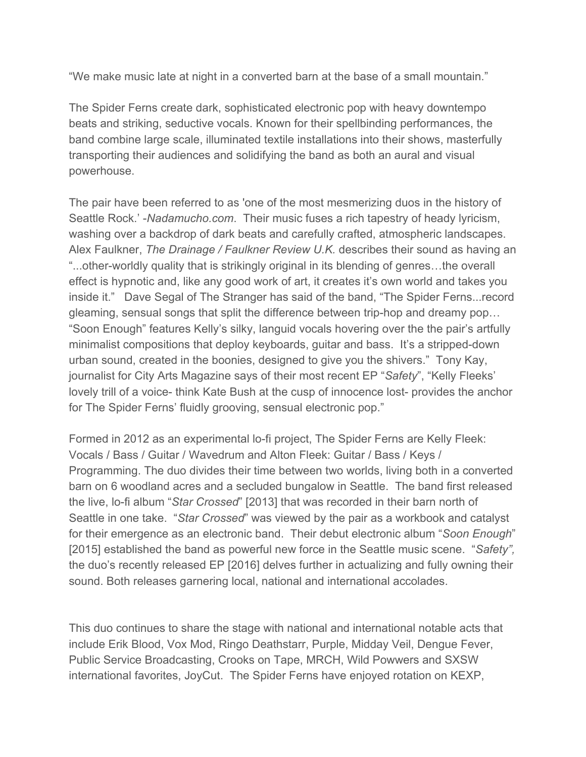"We make music late at night in a converted barn at the base of a small mountain."

The Spider Ferns create dark, sophisticated electronic pop with heavy downtempo beats and striking, seductive vocals. Known for their spellbinding performances, the band combine large scale, illuminated textile installations into their shows, masterfully transporting their audiences and solidifying the band as both an aural and visual powerhouse.

The pair have been referred to as 'one of the most mesmerizing duos in the history of Seattle Rock.' *Nadamucho.com*. Their music fuses a rich tapestry of heady lyricism, washing over a backdrop of dark beats and carefully crafted, atmospheric landscapes. Alex Faulkner, *The Drainage / Faulkner Review U.K.* describes their sound as having an "...other-worldly quality that is strikingly original in its blending of genres...the overall effect is hypnotic and, like any good work of art, it creates it's own world and takes you inside it." Dave Segal of The Stranger has said of the band, "The Spider Ferns...record gleaming, sensual songs that split the difference between triphop and dreamy pop… "Soon Enough" features Kelly's silky, languid vocals hovering over the the pair's artfully minimalist compositions that deploy keyboards, guitar and bass. It's a stripped-down urban sound, created in the boonies, designed to give you the shivers." Tony Kay, journalist for City Arts Magazine says of their most recent EP "*Safety*", "Kelly Fleeks' lovely trill of a voice-think Kate Bush at the cusp of innocence lost-provides the anchor for The Spider Ferns' fluidly grooving, sensual electronic pop."

Formed in 2012 as an experimental lo-fi project, The Spider Ferns are Kelly Fleek: Vocals / Bass / Guitar / Wavedrum and Alton Fleek: Guitar / Bass / Keys / Programming. The duo divides their time between two worlds, living both in a converted barn on 6 woodland acres and a secluded bungalow in Seattle. The band first released the live, lo-fi album "*Star Crossed*" [2013] that was recorded in their barn north of Seattle in one take. "*Star Crossed*" was viewed by the pair as a workbook and catalyst for their emergence as an electronic band. Their debut electronic album "*Soon Enough*" [2015] established the band as powerful new force in the Seattle music scene. "*Safety",* the duo's recently released EP [2016] delves further in actualizing and fully owning their sound. Both releases garnering local, national and international accolades.

This duo continues to share the stage with national and international notable acts that include Erik Blood, Vox Mod, Ringo Deathstarr, Purple, Midday Veil, Dengue Fever, Public Service Broadcasting, Crooks on Tape, MRCH, Wild Powwers and SXSW international favorites, JoyCut. The Spider Ferns have enjoyed rotation on KEXP,